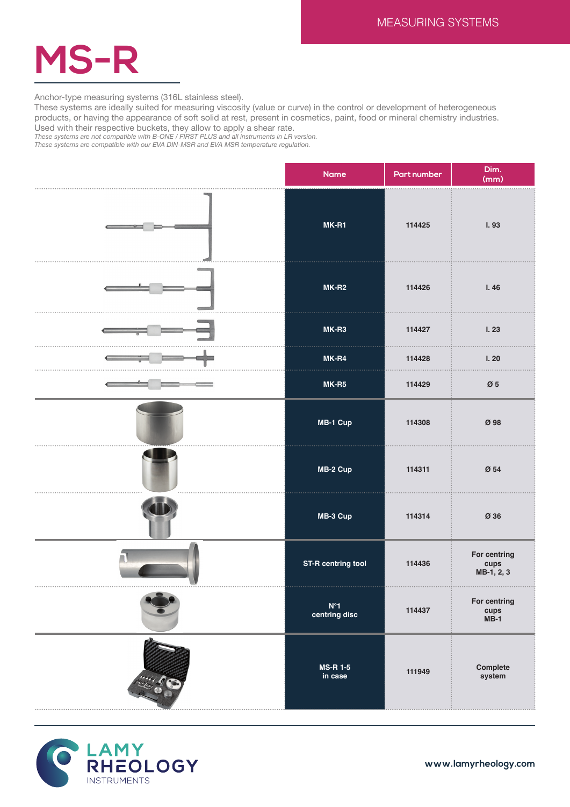

Anchor-type measuring systems (316L stainless steel).

These systems are ideally suited for measuring viscosity (value or curve) in the control or development of heterogeneous products, or having the appearance of soft solid at rest, present in cosmetics, paint, food or mineral chemistry industries. Used with their respective buckets, they allow to apply a shear rate.

*These systems are not compatible with B-ONE / FIRST PLUS and all instruments in LR version.*

*These systems are compatible with our EVA DIN-MSR and EVA MSR temperature regulation.*

| <b>Name</b>                | Part number | Dim.<br>(mm)                       |
|----------------------------|-------------|------------------------------------|
| MK-R1                      | 114425      | I.93                               |
| $MK-R2$                    | 114426      | I.46                               |
| $MK-R3$                    | 114427      | I.23                               |
| MK-R4                      | 114428      | I.20                               |
| $MK-R5$                    | 114429      | $\boldsymbol{\emptyset}$ 5         |
| MB-1 Cup                   | 114308      | Ø 98                               |
| MB-2 Cup                   | 114311      | Ø 54                               |
| MB-3 Cup                   | 114314      | Ø 36                               |
| <b>ST-R centring tool</b>  | 114436      | For centring<br>cups<br>MB-1, 2, 3 |
| $N^{\circ}1$ centring disc | 114437      | For centring<br>cups<br>MB-1       |
| <b>MS-R 1-5</b><br>in case | 111949      | Complete<br>system                 |



**www.lamyrheology.com**